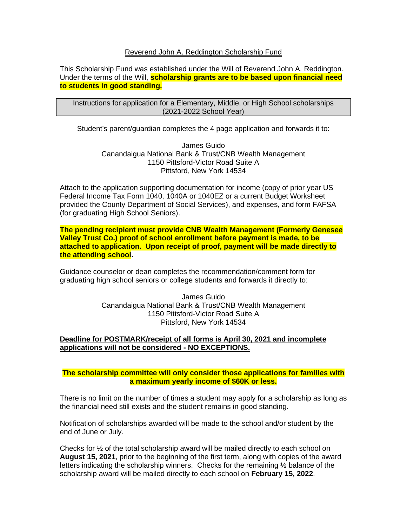#### Reverend John A. Reddington Scholarship Fund

This Scholarship Fund was established under the Will of Reverend John A. Reddington. Under the terms of the Will, **scholarship grants are to be based upon financial need to students in good standing.**

Instructions for application for a Elementary, Middle, or High School scholarships (2021-2022 School Year)

Student's parent/guardian completes the 4 page application and forwards it to:

James Guido Canandaigua National Bank & Trust/CNB Wealth Management 1150 Pittsford-Victor Road Suite A Pittsford, New York 14534

Attach to the application supporting documentation for income (copy of prior year US Federal Income Tax Form 1040, 1040A or 1040EZ or a current Budget Worksheet provided the County Department of Social Services), and expenses, and form FAFSA (for graduating High School Seniors).

**The pending recipient must provide CNB Wealth Management (Formerly Genesee Valley Trust Co.) proof of school enrollment before payment is made, to be attached to application. Upon receipt of proof, payment will be made directly to the attending school.**

Guidance counselor or dean completes the recommendation/comment form for graduating high school seniors or college students and forwards it directly to:

> James Guido Canandaigua National Bank & Trust/CNB Wealth Management 1150 Pittsford-Victor Road Suite A Pittsford, New York 14534

#### **Deadline for POSTMARK/receipt of all forms is April 30, 2021 and incomplete applications will not be considered - NO EXCEPTIONS.**

#### **The scholarship committee will only consider those applications for families with a maximum yearly income of \$60K or less.**

There is no limit on the number of times a student may apply for a scholarship as long as the financial need still exists and the student remains in good standing.

Notification of scholarships awarded will be made to the school and/or student by the end of June or July.

Checks for  $\frac{1}{2}$  of the total scholarship award will be mailed directly to each school on **August 15, 2021**, prior to the beginning of the first term, along with copies of the award letters indicating the scholarship winners. Checks for the remaining ½ balance of the scholarship award will be mailed directly to each school on **February 15, 2022**.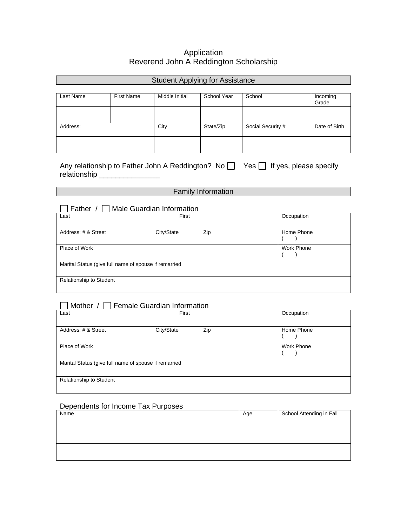## Application Reverend John A Reddington Scholarship

| <b>Student Applying for Assistance</b> |                   |                |             |                   |                   |
|----------------------------------------|-------------------|----------------|-------------|-------------------|-------------------|
| Last Name                              | <b>First Name</b> | Middle Initial | School Year | School            | Incoming<br>Grade |
|                                        |                   |                |             |                   |                   |
| Address:                               |                   | City           | State/Zip   | Social Security # | Date of Birth     |
|                                        |                   |                |             |                   |                   |

Any relationship to Father John A Reddington? No  $\Box$  Yes  $\Box$  If yes, please specify relationship \_\_\_\_\_\_\_\_\_\_\_\_\_\_\_

## Family Information

| Father                                                | Male Guardian Information |            |  |
|-------------------------------------------------------|---------------------------|------------|--|
| Last                                                  | First                     | Occupation |  |
|                                                       |                           |            |  |
| Address: # & Street                                   | City/State<br>Zip         | Home Phone |  |
| Place of Work                                         |                           | Work Phone |  |
| Marital Status (give full name of spouse if remarried |                           |            |  |
| <b>Relationship to Student</b>                        |                           |            |  |

## Mother / Female Guardian Information

| Last                                                  | First             | Occupation        |
|-------------------------------------------------------|-------------------|-------------------|
| Address: # & Street                                   | City/State<br>Zip | Home Phone        |
| Place of Work                                         |                   | <b>Work Phone</b> |
| Marital Status (give full name of spouse if remarried |                   |                   |
| <b>Relationship to Student</b>                        |                   |                   |

#### Dependents for Income Tax Purposes

| Name | Age | School Attending in Fall |
|------|-----|--------------------------|
|      |     |                          |
|      |     |                          |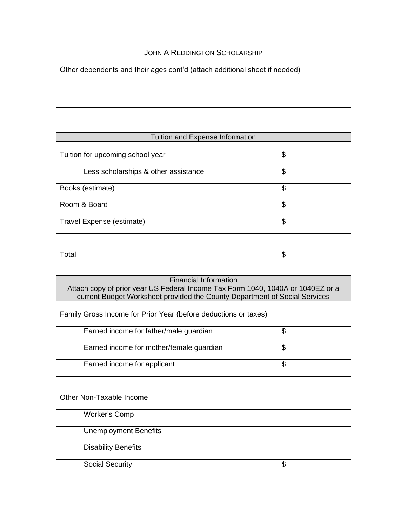## JOHN A REDDINGTON SCHOLARSHIP

| <u>the dependence and men ages comed famous adams on construction</u> |  |
|-----------------------------------------------------------------------|--|
|                                                                       |  |
|                                                                       |  |
|                                                                       |  |
|                                                                       |  |
|                                                                       |  |
|                                                                       |  |
|                                                                       |  |

#### Other dependents and their ages cont'd (attach additional sheet if needed)

## Tuition and Expense Information

| Tuition for upcoming school year     | \$ |
|--------------------------------------|----|
| Less scholarships & other assistance | \$ |
| Books (estimate)                     | \$ |
| Room & Board                         | \$ |
| Travel Expense (estimate)            | \$ |
|                                      |    |
| Total                                | \$ |

# Financial Information

Attach copy of prior year US Federal Income Tax Form 1040, 1040A or 1040EZ or a current Budget Worksheet provided the County Department of Social Services

| Family Gross Income for Prior Year (before deductions or taxes) |    |
|-----------------------------------------------------------------|----|
| Earned income for father/male guardian                          | \$ |
| Earned income for mother/female guardian                        | \$ |
| Earned income for applicant                                     | \$ |
|                                                                 |    |
| Other Non-Taxable Income                                        |    |
| <b>Worker's Comp</b>                                            |    |
| <b>Unemployment Benefits</b>                                    |    |
| <b>Disability Benefits</b>                                      |    |
| <b>Social Security</b>                                          | \$ |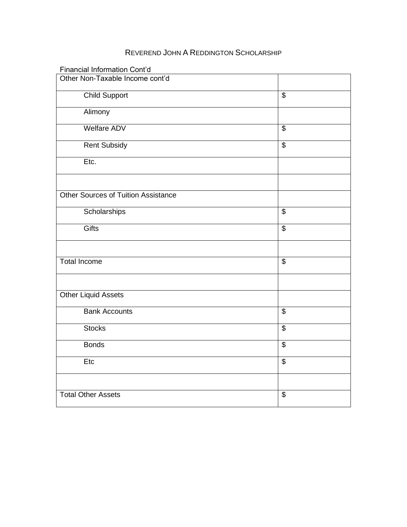# REVEREND JOHN A REDDINGTON SCHOLARSHIP

| Financial Information Cont'd               |                          |
|--------------------------------------------|--------------------------|
| Other Non-Taxable Income cont'd            |                          |
| <b>Child Support</b>                       | $\overline{\$}$          |
| Alimony                                    |                          |
| <b>Welfare ADV</b>                         | \$                       |
| <b>Rent Subsidy</b>                        | $\overline{\mathcal{S}}$ |
| Etc.                                       |                          |
|                                            |                          |
| <b>Other Sources of Tuition Assistance</b> |                          |
| Scholarships                               | \$                       |
| Gifts                                      | $\overline{\$}$          |
|                                            |                          |
| Total Income                               | \$                       |
|                                            |                          |
| <b>Other Liquid Assets</b>                 |                          |
| <b>Bank Accounts</b>                       | $\overline{\mathcal{S}}$ |
| <b>Stocks</b>                              | $\overline{\$}$          |
| <b>Bonds</b>                               | $\overline{\$}$          |
| Etc                                        | $\overline{\mathcal{S}}$ |
|                                            |                          |
| <b>Total Other Assets</b>                  | \$                       |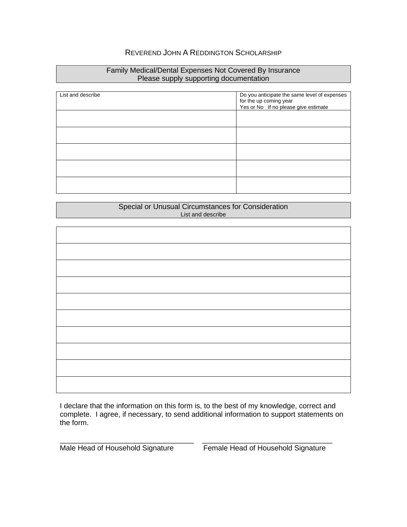## REVEREND JOHN A REDDINGTON SCHOLARSHIP

#### Family Medical/Dental Expenses Not Covered By Insurance Please supply supporting documentation

| List and describe | Do you anticipate the same level of expenses |
|-------------------|----------------------------------------------|
|                   | for the up coming year                       |
|                   |                                              |
|                   | Yes or No If no please give estimate         |
|                   |                                              |
|                   |                                              |
|                   |                                              |
|                   |                                              |
|                   |                                              |
|                   |                                              |
|                   |                                              |
|                   |                                              |
|                   |                                              |
|                   |                                              |
|                   |                                              |
|                   |                                              |
|                   |                                              |
|                   |                                              |
|                   |                                              |

#### Special or Unusual Circumstances for Consideration List and describe

I declare that the information on this form is, to the best of my knowledge, correct and complete. I agree, if necessary, to send additional information to support statements on the form.

\_\_\_\_\_\_\_\_\_\_\_\_\_\_\_\_\_\_\_\_\_\_\_\_\_\_\_\_\_\_\_\_\_ \_\_\_\_\_\_\_\_\_\_\_\_\_\_\_\_\_\_\_\_\_\_\_\_\_\_\_\_\_\_\_\_

Male Head of Household Signature Female Head of Household Signature